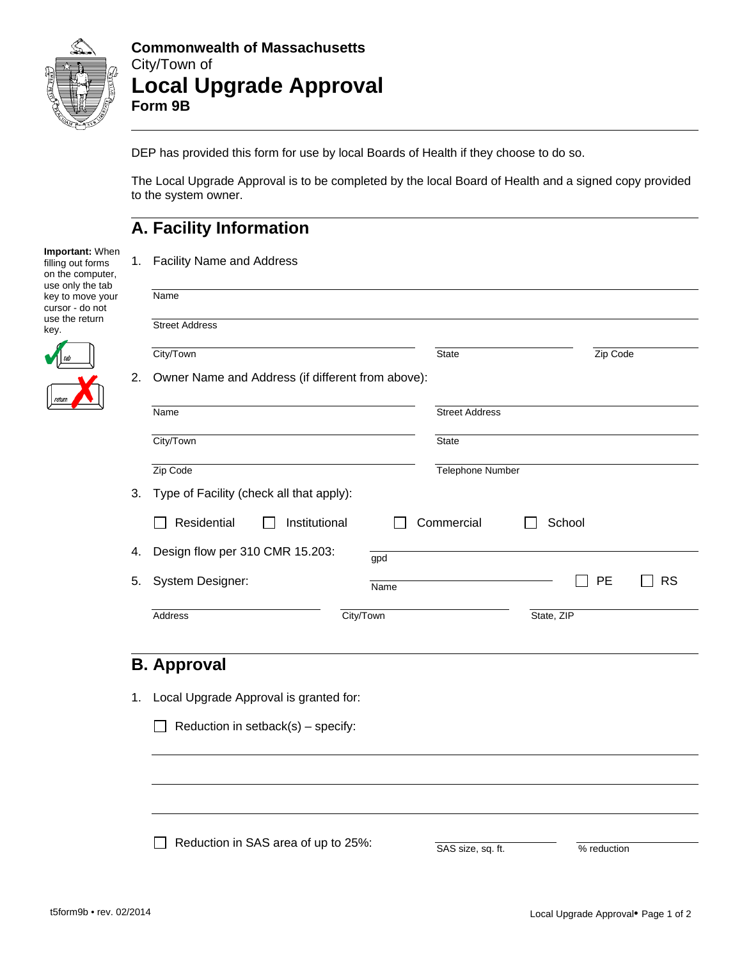

#### **Commonwealth of Massachusetts**  City/Town of **Local Upgrade Approval Form 9B**

DEP has provided this form for use by local Boards of Health if they choose to do so.

The Local Upgrade Approval is to be completed by the local Board of Health and a signed copy provided to the system owner.

# **A. Facility Information**

1. Facility Name and Address

| Important: When   |
|-------------------|
| filling out forms |
| on the computer,  |
| use only the tab  |
| key to move your  |
| cursor - do not   |
| use the return    |
| kev.              |

 $\frac{1}{\sqrt{2}}$ 

|    | Name                                              |                          |           |
|----|---------------------------------------------------|--------------------------|-----------|
|    | <b>Street Address</b>                             |                          |           |
|    | City/Town                                         | <b>State</b><br>Zip Code |           |
| 2. | Owner Name and Address (if different from above): |                          |           |
|    | Name                                              | <b>Street Address</b>    |           |
|    | City/Town                                         | <b>State</b>             |           |
|    | Zip Code                                          | Telephone Number         |           |
| 3. | Type of Facility (check all that apply):          |                          |           |
|    | Residential<br>Institutional                      | Commercial<br>School     |           |
| 4. | Design flow per 310 CMR 15.203:                   | gpd                      |           |
| 5. | <b>System Designer:</b>                           | <b>PE</b><br>Name        | <b>RS</b> |
|    | Address                                           | City/Town<br>State, ZIP  |           |

## **B. Approval**

1. Local Upgrade Approval is granted for:

Reduction in setback(s) – specify:

 $\Box$  Reduction in SAS area of up to 25%:

| SAS size, sq. ft. |
|-------------------|
|-------------------|

% reduction